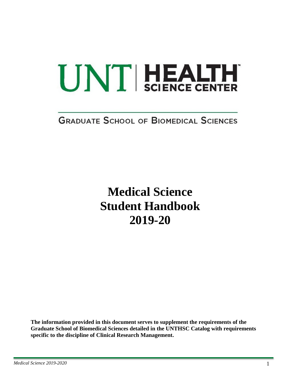# UNT HEALTH

# **GRADUATE SCHOOL OF BIOMEDICAL SCIENCES**

**Medical Science Student Handbook 2019-20**

**The information provided in this document serves to supplement the requirements of the Graduate School of Biomedical Sciences detailed in the UNTHSC Catalog with requirements specific to the discipline of Clinical Research Management.**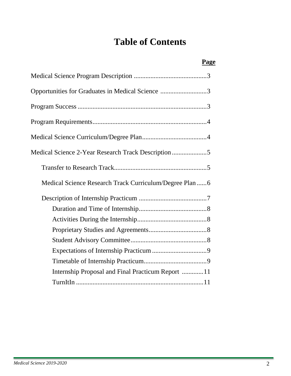# **Table of Contents**

## **Page**

| Opportunities for Graduates in Medical Science 3        |
|---------------------------------------------------------|
|                                                         |
|                                                         |
|                                                         |
|                                                         |
|                                                         |
| Medical Science Research Track Curriculum/Degree Plan 6 |
|                                                         |
|                                                         |
|                                                         |
|                                                         |
|                                                         |
|                                                         |
|                                                         |
|                                                         |
| Internship Proposal and Final Practicum Report 11       |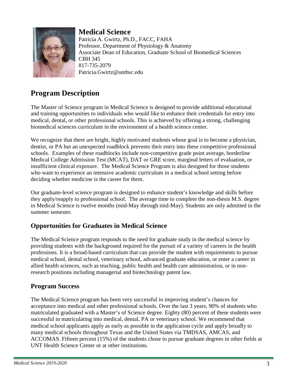### **Medical Science**



Patricia A. Gwirtz, Ph.D., FACC, FAHA Professor, Department of Physiology & Anatomy Associate Dean of Education, Graduate School of Biomedical Sciences CBH 345 817-735-2079 Patricia.Gwirtz@unthsc.edu

## **Program Description**

The Master of Science program in Medical Science is designed to provide additional educational and training opportunities to individuals who would like to enhance their credentials for entry into medical, dental, or other professional schools. This is achieved by offering a strong, challenging biomedical sciences curriculum in the environment of a health science center.

We recognize that there are bright, highly motivated students whose goal is to become a physician, dentist, or PA but an unexpected roadblock prevents their entry into these competitive professional schools. Examples of these roadblocks include non-competitive grade point average, borderline Medical College Admission Test (MCAT), DAT or GRE score, marginal letters of evaluation, or insufficient clinical exposure. The Medical Science Program is also designed for those students who want to experience an intensive academic curriculum in a medical school setting before deciding whether medicine is the career for them.

Our graduate-level science program is designed to enhance student's knowledge and skills before they apply/reapply to professional school. The average time to complete the non-thesis M.S. degree in Medical Science is twelve months (mid-May through mid-May). Students are only admitted in the summer semester.

#### **Opportunities for Graduates in Medical Science**

The Medical Science program responds to the need for graduate study in the medical science by providing students with the background required for the pursuit of a variety of careers in the health professions. It is a broad-based curriculum that can provide the student with requirements to pursue medical school, dental school, veterinary school, advanced graduate education, or enter a career in allied health sciences, such as teaching, public health and health care administration, or in nonresearch positions including managerial and biotechnology patent law.

#### **Program Success**

The Medical Science program has been very successful in improving student's chances for acceptance into medical and other professional schools. Over the last 3 years, 90% of students who matriculated graduated with a Master's of Science degree. Eighty (80) percent of these students were successful in matriculating into medical, dental, PA or veterinary school. We recommend that medical school applicants apply as early as possible in the application cycle and apply broadly to many medical schools throughout Texas and the United States via TMDSAS, AMCAS, and ACCOMAS. Fifteen percent (15%) of the students chose to pursue graduate degrees in other fields at UNT Health Science Center or at other institutions.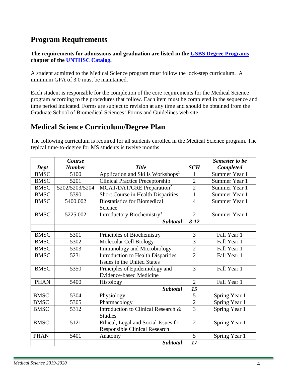## **Program Requirements**

**The requirements for admissions and graduation are listed in the [GSBS Degree Programs](http://catalog.unthsc.edu/content.php?catoid=6&navoid=655)  chapter of the [UNTHSC Catalog.](http://catalog.unthsc.edu/)**

A student admitted to the Medical Science program must follow the lock-step curriculum. A minimum GPA of 3.0 must be maintained.

Each student is responsible for the completion of the core requirements for the Medical Science program according to the procedures that follow. Each item must be completed in the sequence and time period indicated. Forms are subject to revision at any time and should be obtained from the Graduate School of Biomedical Sciences' Forms and Guidelines web site.

## **Medical Science Curriculum/Degree Plan**

The following curriculum is required for all students enrolled in the Medical Science program. The typical time-to-degree for MS students is twelve months.

|             | Course         |                                               |                | <b>Semester to be</b> |
|-------------|----------------|-----------------------------------------------|----------------|-----------------------|
| Dept        | <b>Number</b>  | <b>Title</b>                                  | <b>SCH</b>     | Completed             |
| <b>BMSC</b> | 5100           | Application and Skills Workshops <sup>1</sup> | 1              | Summer Year 1         |
| <b>BMSC</b> | 5201           | <b>Clinical Practice Preceptorship</b>        | $\overline{2}$ | Summer Year 1         |
| <b>BMSC</b> | 5202/5203/5204 | MCAT/DAT/GRE Preparation <sup>2</sup>         | $\overline{2}$ | Summer Year 1         |
| <b>BMSC</b> | 5390           | <b>Short Course in Health Disparities</b>     | $\mathbf{1}$   | Summer Year 1         |
| <b>BMSC</b> | 5400.002       | <b>Biostatistics for Biomedical</b>           | $\overline{4}$ | Summer Year 1         |
|             |                | Science                                       |                |                       |
| <b>BMSC</b> | 5225.002       | Introductory Biochemistry <sup>3</sup>        | $\overline{2}$ | Summer Year 1         |
|             |                | <b>Subtotal</b>                               | $8 - 12$       |                       |
|             |                |                                               |                |                       |
| <b>BMSC</b> | 5301           | Principles of Biochemistry                    | 3              | Fall Year 1           |
| <b>BMSC</b> | 5302           | Molecular Cell Biology                        | 3              | Fall Year 1           |
| <b>BMSC</b> | 5303           | <b>Immunology and Microbiology</b>            | $\overline{c}$ | Fall Year 1           |
| <b>BMSC</b> | 5231           | <b>Introduction to Health Disparities</b>     | $\overline{2}$ | Fall Year 1           |
|             |                | Issues in the United States                   |                |                       |
| <b>BMSC</b> | 5350           | Principles of Epidemiology and                | $\overline{3}$ | Fall Year 1           |
|             |                | <b>Evidence-based Medicine</b>                |                |                       |
| <b>PHAN</b> | 5400           | Histology                                     | $\overline{2}$ | Fall Year 1           |
|             |                | <b>Subtotal</b>                               | 15             |                       |
| <b>BMSC</b> | 5304           | Physiology                                    | 5              | Spring Year 1         |
| <b>BMSC</b> | 5305           | Pharmacology                                  | $\overline{2}$ | Spring Year 1         |
| <b>BMSC</b> | 5312           | Introduction to Clinical Research &           | 3              | Spring Year 1         |
|             |                | <b>Studies</b>                                |                |                       |
| <b>BMSC</b> | 5121           | Ethical, Legal and Social Issues for          | $\overline{2}$ | Spring Year 1         |
|             |                | <b>Responsible Clinical Research</b>          |                |                       |
| <b>PHAN</b> | 5401           | Anatomy                                       | 5              | Spring Year 1         |
|             |                | <b>Subtotal</b>                               | 17             |                       |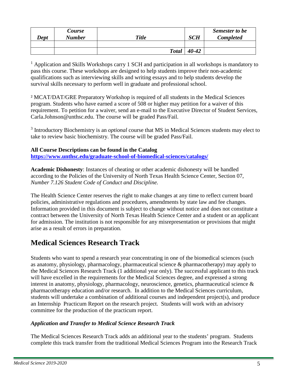| Dept | <b>Course</b><br><b>Number</b> | <b>Title</b> | <b>SCH</b> | <b>Semester to be</b><br><b>Completed</b> |
|------|--------------------------------|--------------|------------|-------------------------------------------|
|      |                                |              |            |                                           |
|      |                                | <b>Total</b> | $40 - 42$  |                                           |

<sup>1</sup> Application and Skills Workshops carry 1 SCH and participation in all workshops is mandatory to pass this course. These workshops are designed to help students improve their non-academic qualifications such as interviewing skills and writing essays and to help students develop the survival skills necessary to perform well in graduate and professional school.

² MCAT/DAT/GRE Preparatory Workshop is required of all students in the Medical Sciences program. Students who have earned a score of 508 or higher may petition for a waiver of this requirement. To petition for a waiver, send an e-mail to the Executive Director of Student Services, Carla.Johnson@unthsc.edu. The course will be graded Pass/Fail.

<sup>3</sup> Introductory Biochemistry is an *optional* course that MS in Medical Sciences students may elect to take to review basic biochemistry. The course will be graded Pass/Fail.

**All Course Descriptions can be found in the Catalog <https://www.unthsc.edu/graduate-school-of-biomedical-sciences/catalogs/>**

**Academic Dishonesty**: Instances of cheating or other academic dishonesty will be handled according to the Policies of the University of North Texas Health Science Center, Section 07, *Number 7.126 Student Code of Conduct and Discipline.*

The Health Science Center reserves the right to make changes at any time to reflect current board policies, administrative regulations and procedures, amendments by state law and fee changes. Information provided in this document is subject to change without notice and does not constitute a contract between the University of North Texas Health Science Center and a student or an applicant for admission. The institution is not responsible for any misrepresentation or provisions that might arise as a result of errors in preparation.

## **Medical Sciences Research Track**

Students who want to spend a research year concentrating in one of the biomedical sciences (such as anatomy, physiology, pharmacology, pharmaceutical science & pharmacotherapy) may apply to the Medical Sciences Research Track (1 additional year only). The successful applicant to this track will have excelled in the requirements for the Medical Sciences degree, and expressed a strong interest in anatomy, physiology, pharmacology, neuroscience, genetics, pharmaceutical science & pharmacotherapy education and/or research. In addition to the Medical Sciences curriculum, students will undertake a combination of additional courses and independent project(s), and produce an Internship Practicum Report on the research project. Students will work with an advisory committee for the production of the practicum report.

#### *Application and Transfer to Medical Science Research Track*

The Medical Sciences Research Track adds an additional year to the students' program. Students complete this track transfer from the traditional Medical Sciences Program into the Research Track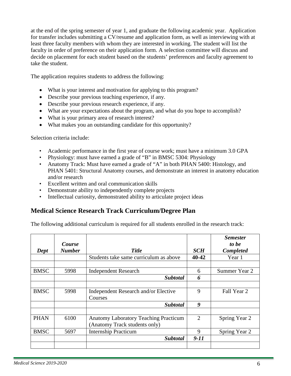at the end of the spring semester of year 1, and graduate the following academic year. Application for transfer includes submitting a CV/resume and application form, as well as interviewing with at least three faculty members with whom they are interested in working. The student will list the faculty in order of preference on their application form. A selection committee will discuss and decide on placement for each student based on the students' preferences and faculty agreement to take the student.

The application requires students to address the following:

- What is your interest and motivation for applying to this program?
- Describe your previous teaching experience, if any.
- Describe your previous research experience, if any.
- What are your expectations about the program, and what do you hope to accomplish?
- What is your primary area of research interest?
- What makes you an outstanding candidate for this opportunity?

Selection criteria include:

- Academic performance in the first year of course work; must have a minimum 3.0 GPA
- Physiology: must have earned a grade of "B" in BMSC 5304: Physiology
- Anatomy Track: Must have earned a grade of "A" in both PHAN 5400: Histology, and PHAN 5401: Structural Anatomy courses, and demonstrate an interest in anatomy education and/or research
- Excellent written and oral communication skills
- Demonstrate ability to independently complete projects
- Intellectual curiosity, demonstrated ability to articulate project ideas

#### **Medical Science Research Track Curriculum/Degree Plan**

The following additional curriculum is required for all students enrolled in the research track:

|             | Course        |                                              |            | <i>Semester</i><br>to be |
|-------------|---------------|----------------------------------------------|------------|--------------------------|
| Dept        | <b>Number</b> | <b>Title</b>                                 | <b>SCH</b> | <b>Completed</b>         |
|             |               | Students take same curriculum as above       | 40-42      | Year 1                   |
|             |               |                                              |            |                          |
| <b>BMSC</b> | 5998          | <b>Independent Research</b>                  | 6          | Summer Year 2            |
|             |               | <b>Subtotal</b>                              | 6          |                          |
|             |               |                                              |            |                          |
| <b>BMSC</b> | 5998          | Independent Research and/or Elective         | 9          | Fall Year 2              |
|             |               | Courses                                      |            |                          |
|             |               | <b>Subtotal</b>                              | 9          |                          |
|             |               |                                              |            |                          |
| <b>PHAN</b> | 6100          | <b>Anatomy Laboratory Teaching Practicum</b> | 2          | Spring Year 2            |
|             |               | (Anatomy Track students only)                |            |                          |
| <b>BMSC</b> | 5697          | <b>Internship Practicum</b>                  | 9          | Spring Year 2            |
|             |               | <b>Subtotal</b>                              | $9-11$     |                          |
|             |               |                                              |            |                          |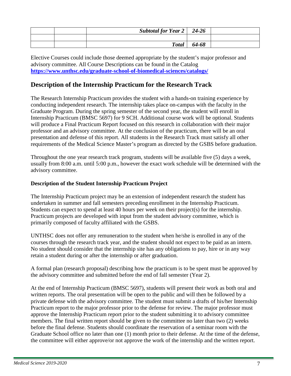|  | Subtotal for Year $2 \mid 24-26$ |       |  |
|--|----------------------------------|-------|--|
|  |                                  |       |  |
|  | <b>Total</b>                     | 64-68 |  |

Elective Courses could include those deemed appropriate by the student's major professor and advisory committee. All Course Descriptions can be found in the Catalog **<https://www.unthsc.edu/graduate-school-of-biomedical-sciences/catalogs/>**

#### **Description of the Internship Practicum for the Research Track**

The Research Internship Practicum provides the student with a hands-on training experience by conducting independent research. The internship takes place on-campus with the faculty in the Graduate Program. During the spring semester of the second year, the student will enroll in Internship Practicum (BMSC 5697) for 9 SCH. Additional course work will be optional. Students will produce a Final Practicum Report focused on this research in collaboration with their major professor and an advisory committee. At the conclusion of the practicum, there will be an oral presentation and defense of this report. All students in the Research Track must satisfy all other requirements of the Medical Science Master's program as directed by the GSBS before graduation.

Throughout the one year research track program, students will be available five (5) days a week, usually from 8:00 a.m. until 5:00 p.m., however the exact work schedule will be determined with the advisory committee.

#### **Description of the Student Internship Practicum Project**

The Internship Practicum project may be an extension of independent research the student has undertaken in summer and fall semesters preceding enrollment in the Internship Practicum. Students can expect to spend at least 40 hours per week on their project(s) for the internship. Practicum projects are developed with input from the student advisory committee, which is primarily composed of faculty affiliated with the GSBS.

UNTHSC does not offer any remuneration to the student when he/she is enrolled in any of the courses through the research track year, and the student should not expect to be paid as an intern. No student should consider that the internship site has any obligations to pay, hire or in any way retain a student during or after the internship or after graduation.

A formal plan (research proposal) describing how the practicum is to be spent must be approved by the advisory committee and submitted before the end of fall semester (Year 2).

At the end of Internship Practicum (BMSC 5697), students will present their work as both oral and written reports. The oral presentation will be open to the public and will then be followed by a private defense with the advisory committee. The student must submit a drafts of his/her Internship Practicum report to the major professor prior to the defense for review. The major professor must approve the Internship Practicum report prior to the student submitting it to advisory committee members. The final written report should be given to the committee no later than two (2) weeks before the final defense. Students should coordinate the reservation of a seminar room with the Graduate School office no later than one (1) month prior to their defense. At the time of the defense, the committee will either approve/or not approve the work of the internship and the written report.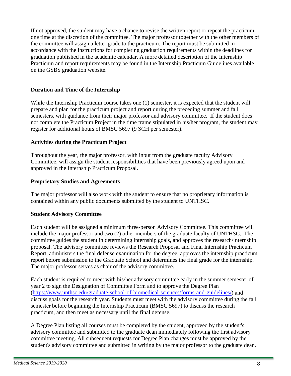If not approved, the student may have a chance to revise the written report or repeat the practicum one time at the discretion of the committee. The major professor together with the other members of the committee will assign a letter grade to the practicum. The report must be submitted in accordance with the instructions for completing graduation requirements within the deadlines for graduation published in the academic calendar. A more detailed description of the Internship Practicum and report requirements may be found in the Internship Practicum Guidelines available on the GSBS graduation website.

#### **Duration and Time of the Internship**

While the Internship Practicum course takes one (1) semester, it is expected that the student will prepare and plan for the practicum project and report during the preceding summer and fall semesters, with guidance from their major professor and advisory committee. If the student does not complete the Practicum Project in the time frame stipulated in his/her program, the student may register for additional hours of BMSC 5697 (9 SCH per semester).

#### **Activities during the Practicum Project**

Throughout the year, the major professor, with input from the graduate faculty Advisory Committee, will assign the student responsibilities that have been previously agreed upon and approved in the Internship Practicum Proposal.

#### **Proprietary Studies and Agreements**

The major professor will also work with the student to ensure that no proprietary information is contained within any public documents submitted by the student to UNTHSC.

#### **Student Advisory Committee**

Each student will be assigned a minimum three-person Advisory Committee. This committee will include the major professor and two (2) other members of the graduate faculty of UNTHSC. The committee guides the student in determining internship goals, and approves the research/internship proposal. The advisory committee reviews the Research Proposal and Final Internship Practicum Report, administers the final defense examination for the degree, approves the internship practicum report before submission to the Graduate School and determines the final grade for the internship. The major professor serves as chair of the advisory committee.

Each student is required to meet with his/her advisory committee early in the summer semester of year 2 to sign the Designation of Committee Form and to approve the Degree Plan [\(https://www.unthsc.edu/graduate-school-of-biomedical-sciences/forms-and-guidelines/\)](https://www.unthsc.edu/graduate-school-of-biomedical-sciences/forms-and-guidelines/) and discuss goals for the research year. Students must meet with the advisory committee during the fall semester before beginning the Internship Practicum (BMSC 5697) to discuss the research practicum, and then meet as necessary until the final defense.

A Degree Plan listing all courses must be completed by the student, approved by the student's advisory committee and submitted to the graduate dean immediately following the first advisory committee meeting. All subsequent requests for Degree Plan changes must be approved by the student's advisory committee and submitted in writing by the major professor to the graduate dean.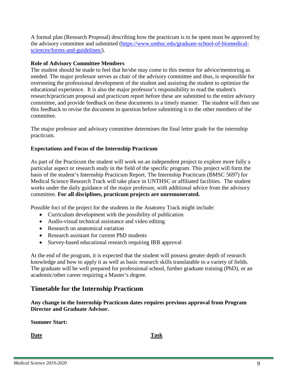A formal plan (Research Proposal) describing how the practicum is to be spent must be approved by the advisory committee and submitted [\(https://www.unthsc.edu/graduate-school-of-biomedical](https://www.unthsc.edu/graduate-school-of-biomedical-sciences/forms-and-guidelines/)[sciences/forms-and-guidelines/\)](https://www.unthsc.edu/graduate-school-of-biomedical-sciences/forms-and-guidelines/).

#### **Role of Advisory Committee Members**

The student should be made to feel that he/she may come to this mentor for advice/mentoring as needed. The major professor serves as chair of the advisory committee and thus, is responsible for overseeing the professional development of the student and assisting the student to optimize the educational experience. It is also the major professor's responsibility to read the student's research/practicum proposal and practicum report before these are submitted to the entire advisory committee, and provide feedback on these documents in a timely manner. The student will then use this feedback to revise the document in question before submitting it to the other members of the committee.

The major professor and advisory committee determines the final letter grade for the internship practicum.

#### **Expectations and Focus of the Internship Practicum**

As part of the Practicum the student will work on an independent project to explore more fully a particular aspect or research study in the field of the specific program. This project will form the basis of the student's Internship Practicum Report. The Internship Practicum (BMSC 5697) for Medical Science Research Track will take place in UNTHSC or affiliated facilities. The student works under the daily guidance of the major professor, with additional advice from the advisory committee. **For all disciplines, practicum projects are unremunerated.** 

Possible foci of the project for the students in the Anatomy Track might include:

- Curriculum development with the possibility of publication
- Audio-visual technical assistance and video editing
- Research on anatomical variation
- Research assistant for current PhD students
- Survey-based educational research requiring IRB approval

At the end of the program, it is expected that the student will possess greater depth of research knowledge and how to apply it as well as basic research skills translatable to a variety of fields. The graduate will be well prepared for professional school, further graduate training (PhD), or an academic/other career requiring a Master's degree.

#### **Timetable for the Internship Practicum**

**Any change in the Internship Practicum dates requires previous approval from Program Director and Graduate Advisor.**

**Summer Start:**

**Date Task**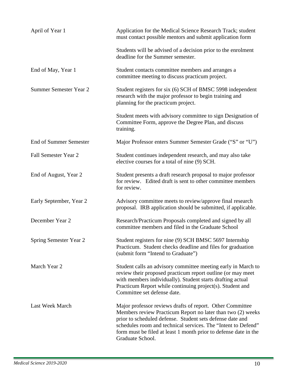| April of Year 1               | Application for the Medical Science Research Track; student<br>must contact possible mentors and submit application form                                                                                                                                                                                                                       |
|-------------------------------|------------------------------------------------------------------------------------------------------------------------------------------------------------------------------------------------------------------------------------------------------------------------------------------------------------------------------------------------|
|                               | Students will be advised of a decision prior to the enrolment<br>deadline for the Summer semester.                                                                                                                                                                                                                                             |
| End of May, Year 1            | Student contacts committee members and arranges a<br>committee meeting to discuss practicum project.                                                                                                                                                                                                                                           |
| Summer Semester Year 2        | Student registers for six (6) SCH of BMSC 5998 independent<br>research with the major professor to begin training and<br>planning for the practicum project.                                                                                                                                                                                   |
|                               | Student meets with advisory committee to sign Designation of<br>Committee Form, approve the Degree Plan, and discuss<br>training.                                                                                                                                                                                                              |
| <b>End of Summer Semester</b> | Major Professor enters Summer Semester Grade ("S" or "U")                                                                                                                                                                                                                                                                                      |
| Fall Semester Year 2          | Student continues independent research, and may also take<br>elective courses for a total of nine (9) SCH.                                                                                                                                                                                                                                     |
| End of August, Year 2         | Student presents a draft research proposal to major professor<br>for review. Edited draft is sent to other committee members<br>for review.                                                                                                                                                                                                    |
| Early September, Year 2       | Advisory committee meets to review/approve final research<br>proposal. IRB application should be submitted, if applicable.                                                                                                                                                                                                                     |
| December Year 2               | Research/Practicum Proposals completed and signed by all<br>committee members and filed in the Graduate School                                                                                                                                                                                                                                 |
| Spring Semester Year 2        | Student registers for nine (9) SCH BMSC 5697 Internship<br>Practicum. Student checks deadline and files for graduation<br>(submit form "Intend to Graduate")                                                                                                                                                                                   |
| March Year 2                  | Student calls an advisory committee meeting early in March to<br>review their proposed practicum report outline (or may meet<br>with members individually). Student starts drafting actual<br>Practicum Report while continuing project(s). Student and<br>Committee set defense date.                                                         |
| Last Week March               | Major professor reviews drafts of report. Other Committee<br>Members review Practicum Report no later than two (2) weeks<br>prior to scheduled defense. Student sets defense date and<br>schedules room and technical services. The "Intent to Defend"<br>form must be filed at least 1 month prior to defense date in the<br>Graduate School. |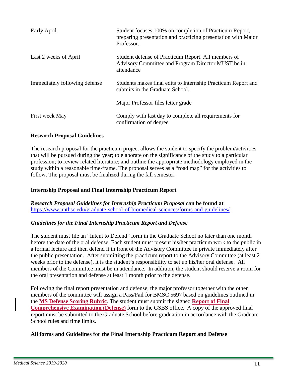| Early April                   | Student focuses 100% on completion of Practicum Report,<br>preparing presentation and practicing presentation with Major<br>Professor. |
|-------------------------------|----------------------------------------------------------------------------------------------------------------------------------------|
| Last 2 weeks of April         | Student defense of Practicum Report. All members of<br>Advisory Committee and Program Director MUST be in<br>attendance                |
| Immediately following defense | Students makes final edits to Internship Practicum Report and<br>submits in the Graduate School.                                       |
|                               | Major Professor files letter grade                                                                                                     |
| First week May                | Comply with last day to complete all requirements for<br>confirmation of degree                                                        |

#### **Research Proposal Guidelines**

The research proposal for the practicum project allows the student to specify the problem/activities that will be pursued during the year; to elaborate on the significance of the study to a particular profession; to review related literature; and outline the appropriate methodology employed in the study within a reasonable time-frame. The proposal serves as a "road map" for the activities to follow. The proposal must be finalized during the fall semester.

#### **Internship Proposal and Final Internship Practicum Report**

#### *Research Proposal Guidelines for Internship Practicum Proposal* **can be found at**  <https://www.unthsc.edu/graduate-school-of-biomedical-sciences/forms-and-guidelines/>

#### *Guidelines for the Final Internship Practicum Report and Defense*

The student must file an "Intent to Defend" form in the Graduate School no later than one month before the date of the oral defense. Each student must present his/her practicum work to the public in a formal lecture and then defend it in front of the Advisory Committee in private immediately after the public presentation. After submitting the practicum report to the Advisory Committee (at least 2 weeks prior to the defense), it is the student's responsibility to set up his/her oral defense. All members of the Committee must be in attendance. In addition, the student should reserve a room for the oral presentation and defense at least 1 month prior to the defense.

Following the final report presentation and defense, the major professor together with the other members of the committee will assign a Pass/Fail for BMSC 5697 based on guidelines outlined in the **MS Defense Scoring Rubric**. The student must submit the signed **Report of Final Comprehensive Examination (Defense)** form to the GSBS office. A copy of the approved final report must be submitted to the Graduate School before graduation in accordance with the Graduate School rules and time limits.

#### **All forms and Guidelines for the Final Internship Practicum Report and Defense**